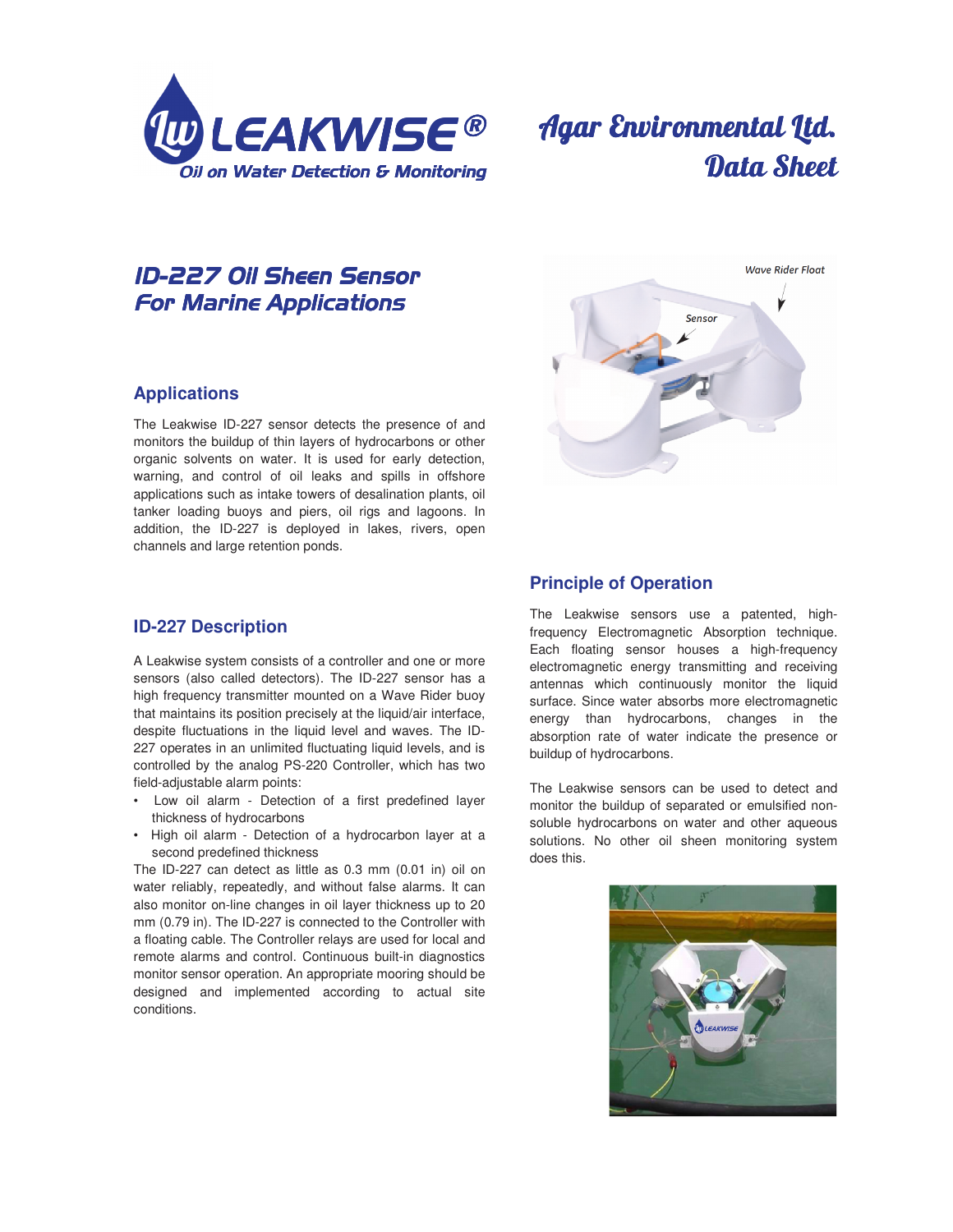

# Agar Environmental Ltd. Data Sheet

## *ID-227Oil Sheen Sensor Oil Sheen SensorOil Sheen Sensor For Marine Applications*

#### **Applications**

The Leakwise ID-227 sensor detects the presence of and monitors the buildup of thin layers of hydrocarbons or other organic solvents on water. It is used for early detection, warning, and control of oil leaks and spills in offshore applications such as intake towers of desalination plants, oil tanker loading buoys and piers, oil rigs and lagoons. In addition, the ID-227 is deployed in lakes, rivers, open channels and large retention ponds.

## **ID-227 Description**

A Leakwise system consists of a controller and one or more sensors (also called detectors). The ID-227 sensor has a high frequency transmitter mounted on a Wave Rider buoy that maintains its position precisely at the liquid/air interface, despite fluctuations in the liquid level and waves. The ID-227 operates in an unlimited fluctuating liquid levels, and is controlled by the analog PS-220 Controller, which has two field-adjustable alarm points:

- Low oil alarm Detection of a first predefined layer thickness of hydrocarbons
- High oil alarm Detection of a hydrocarbon layer at a second predefined thickness

The ID-227 can detect as little as 0.3 mm (0.01 in) oil on water reliably, repeatedly, and without false alarms. It can also monitor on-line changes in oil layer thickness up to 20 mm (0.79 in). The ID-227 is connected to the Controller with a floating cable. The Controller relays are used for local and remote alarms and control. Continuous built-in diagnostics monitor sensor operation. An appropriate mooring should be designed and implemented according to actual site conditions.



## **Principle of Operation**

The Leakwise sensors use a patented, highfrequency Electromagnetic Absorption technique. Each floating sensor houses a high-frequency electromagnetic energy transmitting and receiving antennas which continuously monitor the liquid surface. Since water absorbs more electromagnetic energy than hydrocarbons, changes in the absorption rate of water indicate the presence or buildup of hydrocarbons.

The Leakwise sensors can be used to detect and monitor the buildup of separated or emulsified nonsoluble hydrocarbons on water and other aqueous solutions. No other oil sheen monitoring system does this.